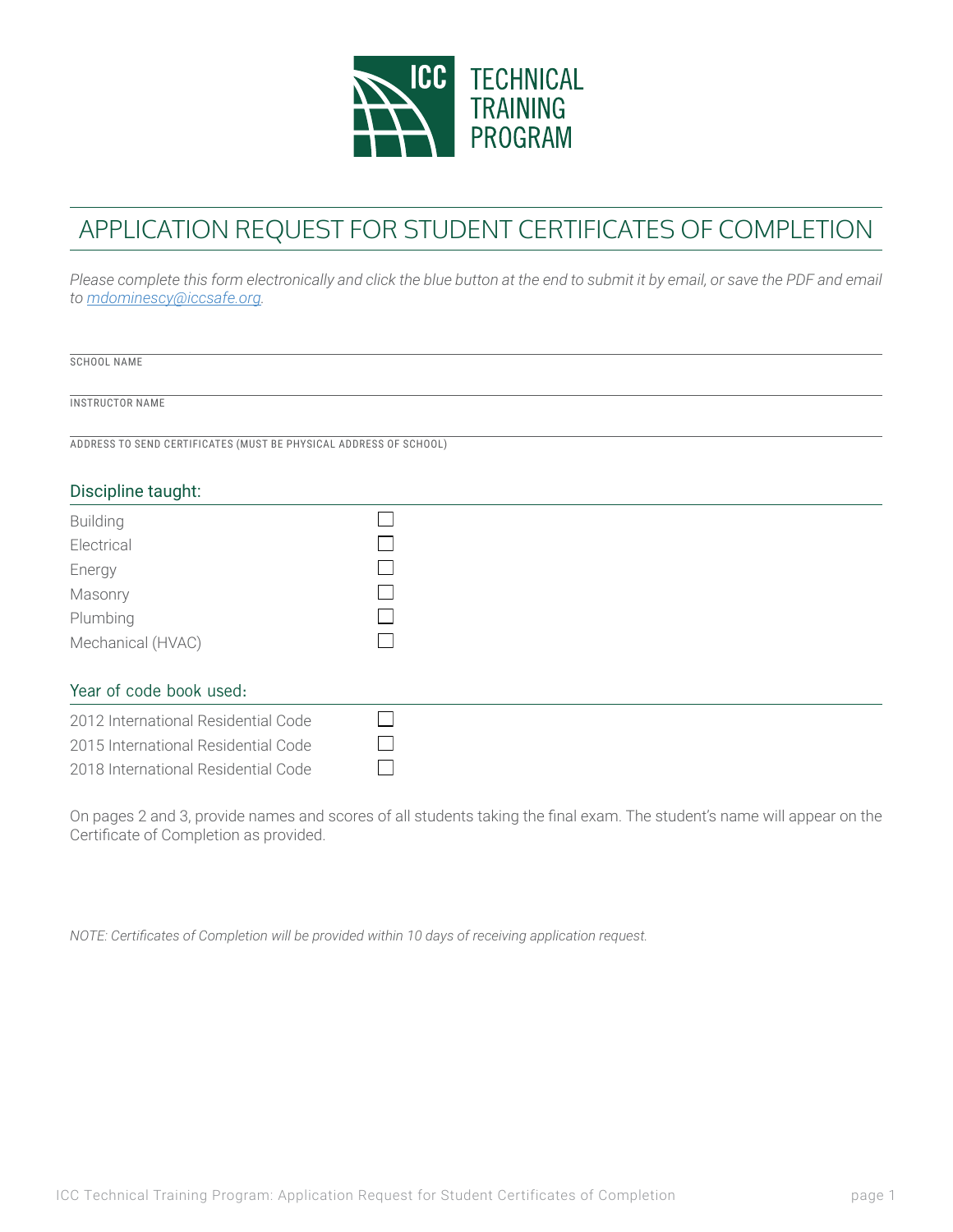

## APPLICATION REQUEST FOR STUDENT CERTIFICATES OF COMPLETION

Please complete this form electronically and click the blue button at the end to submit it by email, or save the PDF and email *to mdominescy@iccsafe.org.*

| SCHOOL NAME            |                                                                   |  |  |
|------------------------|-------------------------------------------------------------------|--|--|
| <b>INSTRUCTOR NAME</b> |                                                                   |  |  |
|                        | ADDRESS TO SEND CERTIFICATES (MUST BE PHYSICAL ADDRESS OF SCHOOL) |  |  |
|                        |                                                                   |  |  |
| Discipline taught:     |                                                                   |  |  |
| <b>Building</b>        |                                                                   |  |  |
| Electrical             |                                                                   |  |  |
| Energy                 |                                                                   |  |  |
| Masonry                |                                                                   |  |  |
| Plumbing               |                                                                   |  |  |

## Year of code book used:

Mechanical (HVAC)

| 2012 International Residential Code |  |  |
|-------------------------------------|--|--|
| 2015 International Residential Code |  |  |
| 2018 International Residential Code |  |  |
|                                     |  |  |

 $\Box$ 

On pages 2 and 3, provide names and scores of all students taking the final exam. The student's name will appear on the Certificate of Completion as provided.

*NOTE: Certificates of Completion will be provided within 10 days of receiving application request.*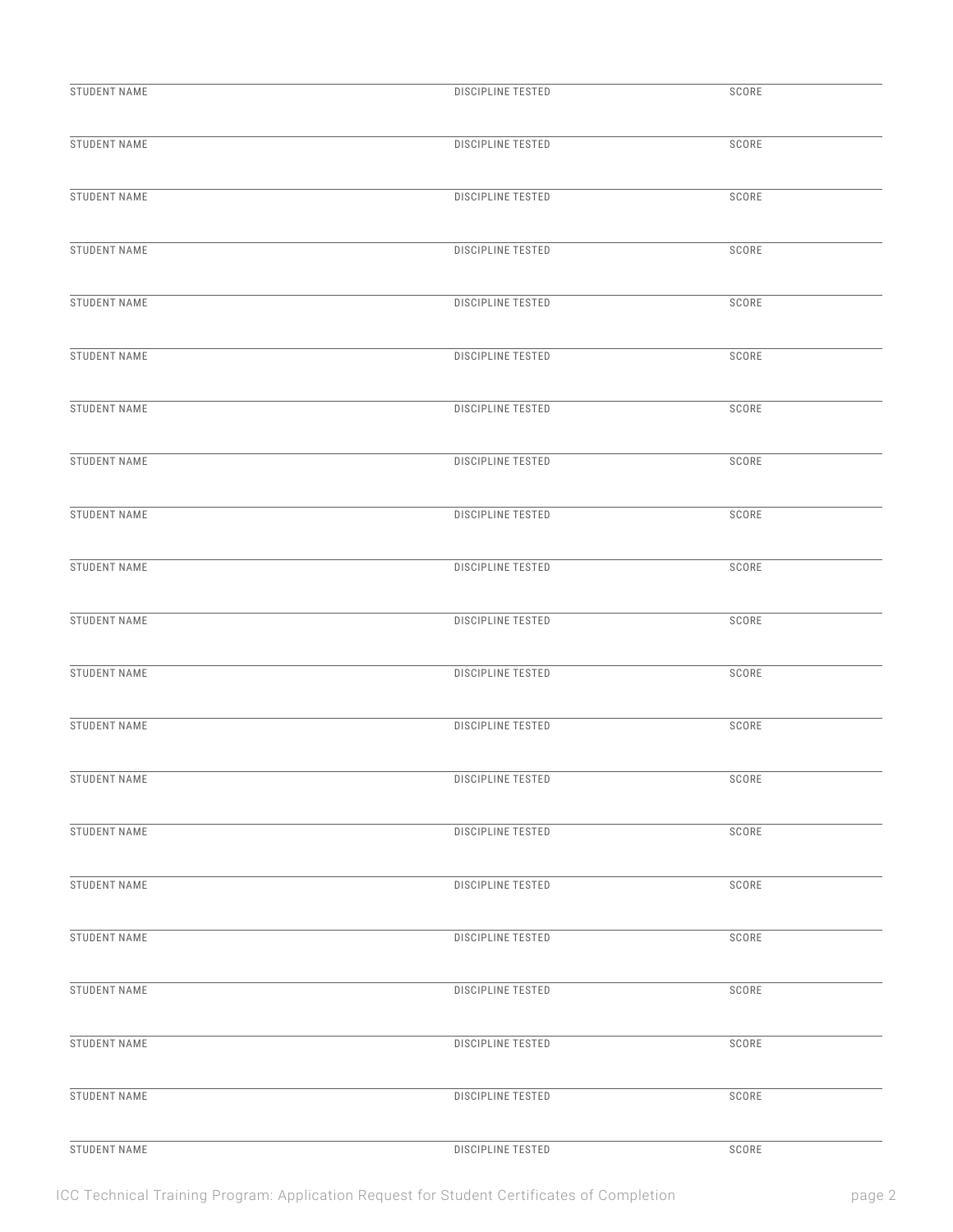| STUDENT NAME        | <b>DISCIPLINE TESTED</b> | SCORE |
|---------------------|--------------------------|-------|
| STUDENT NAME        | <b>DISCIPLINE TESTED</b> | SCORE |
| STUDENT NAME        | <b>DISCIPLINE TESTED</b> | SCORE |
| <b>STUDENT NAME</b> | <b>DISCIPLINE TESTED</b> | SCORE |
| STUDENT NAME        | DISCIPLINE TESTED        | SCORE |
| STUDENT NAME        | <b>DISCIPLINE TESTED</b> | SCORE |
| STUDENT NAME        | <b>DISCIPLINE TESTED</b> | SCORE |
| STUDENT NAME        | <b>DISCIPLINE TESTED</b> | SCORE |
| STUDENT NAME        | DISCIPLINE TESTED        | SCORE |
| STUDENT NAME        | <b>DISCIPLINE TESTED</b> | SCORE |
| STUDENT NAME        | <b>DISCIPLINE TESTED</b> | SCORE |
| STUDENT NAME        | DISCIPLINE TESTED        | SCORE |
| STUDENT NAME        | <b>DISCIPLINE TESTED</b> | SCORE |
| STUDENT NAME        | DISCIPLINE TESTED        | SCORE |
| STUDENT NAME        | DISCIPLINE TESTED        | SCORE |
| STUDENT NAME        | <b>DISCIPLINE TESTED</b> | SCORE |
| STUDENT NAME        | <b>DISCIPLINE TESTED</b> | SCORE |
| STUDENT NAME        | DISCIPLINE TESTED        | SCORE |
| STUDENT NAME        | <b>DISCIPLINE TESTED</b> | SCORE |
| <b>STUDENT NAME</b> | <b>DISCIPLINE TESTED</b> | SCORE |
| STUDENT NAME        | DISCIPLINE TESTED        | SCORE |

ICC Technical Training Program: Application Request for Student Certificates of Completion page 2